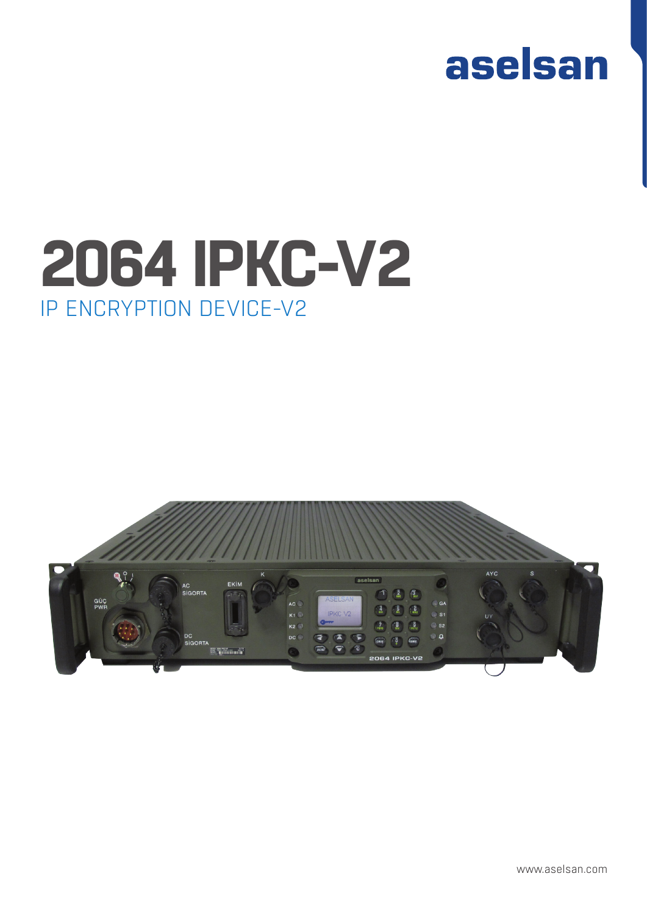

# IP ENCRYPTION DEVICE-V2 **2064 IPKC-V2**